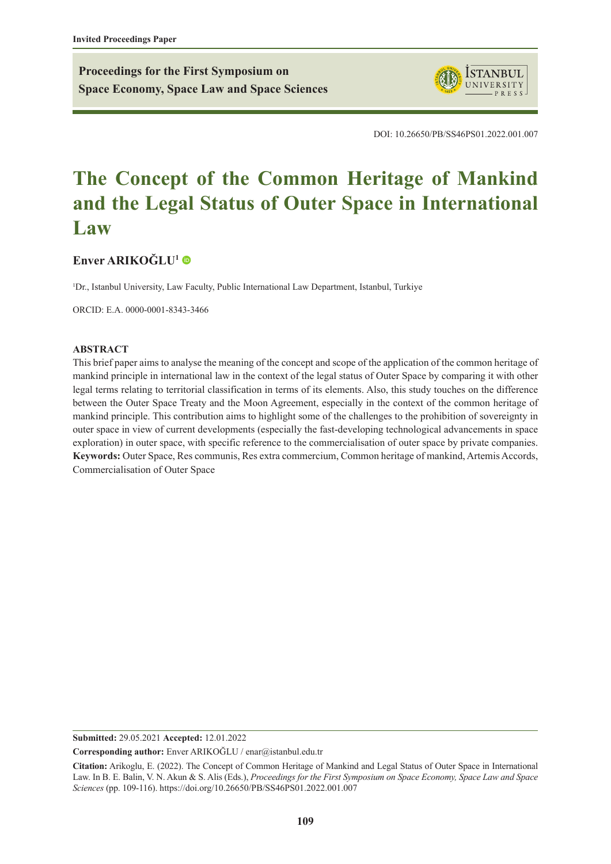**Proceedings for the First Symposium on Space Economy, Space Law and Space Sciences**



DOI: 10.26650/PB/SS46PS01.2022.001.007

# **The Concept of the Common Heritage of Mankind and the Legal Status of Outer Space in International Law**

# **[Enver ARIKOĞLU](https://orcid.org/0000-0001-8343-3466)<sup>1</sup>**

<sup>1</sup>Dr., Istanbul University, Law Faculty, Public International Law Department, Istanbul, Turkiye

ORCID: E.A. 0000-0001-8343-3466

#### **ABSTRACT**

This brief paper aims to analyse the meaning of the concept and scope of the application of the common heritage of mankind principle in international law in the context of the legal status of Outer Space by comparing it with other legal terms relating to territorial classification in terms of its elements. Also, this study touches on the difference between the Outer Space Treaty and the Moon Agreement, especially in the context of the common heritage of mankind principle. This contribution aims to highlight some of the challenges to the prohibition of sovereignty in outer space in view of current developments (especially the fast-developing technological advancements in space exploration) in outer space, with specific reference to the commercialisation of outer space by private companies. **Keywords:** Outer Space, Res communis, Res extra commercium, Common heritage of mankind, Artemis Accords, Commercialisation of Outer Space

**Submitted:** 29.05.2021 **Accepted:** 12.01.2022

**Corresponding author:** Enver ARIKOĞLU / enar@istanbul.edu.tr

**Citation:** Arikoglu, E. (2022). The Concept of Common Heritage of Mankind and Legal Status of Outer Space in International Law. In B. E. Balin, V. N. Akun & S. Alis (Eds.), *Proceedings for the First Symposium on Space Economy, Space Law and Space Sciences* (pp. 109-116). https://doi.org/10.26650/PB/SS46PS01.2022.001.007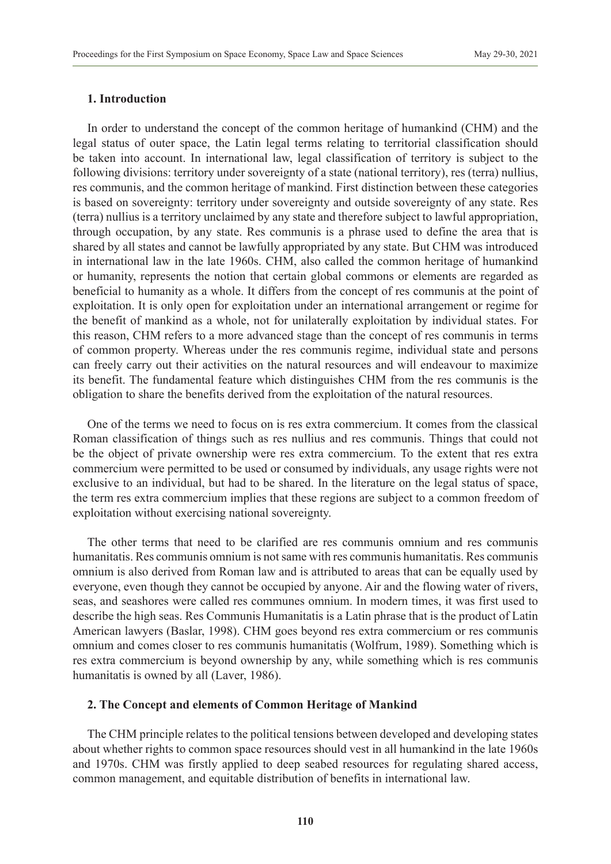### **1. Introduction**

In order to understand the concept of the common heritage of humankind (CHM) and the legal status of outer space, the Latin legal terms relating to territorial classification should be taken into account. In international law, legal classification of territory is subject to the following divisions: territory under sovereignty of a state (national territory), res (terra) nullius, res communis, and the common heritage of mankind. First distinction between these categories is based on sovereignty: territory under sovereignty and outside sovereignty of any state. Res (terra) nullius is a territory unclaimed by any state and therefore subject to lawful appropriation, through occupation, by any state. Res communis is a phrase used to define the area that is shared by all states and cannot be lawfully appropriated by any state. But CHM was introduced in international law in the late 1960s. CHM, also called the common heritage of humankind or humanity, represents the notion that certain global commons or elements are regarded as beneficial to humanity as a whole. It differs from the concept of res communis at the point of exploitation. It is only open for exploitation under an international arrangement or regime for the benefit of mankind as a whole, not for unilaterally exploitation by individual states. For this reason, CHM refers to a more advanced stage than the concept of res communis in terms of common property. Whereas under the res communis regime, individual state and persons can freely carry out their activities on the natural resources and will endeavour to maximize its benefit. The fundamental feature which distinguishes CHM from the res communis is the obligation to share the benefits derived from the exploitation of the natural resources.

One of the terms we need to focus on is res extra commercium. It comes from the classical Roman classification of things such as res nullius and res communis. Things that could not be the object of private ownership were res extra commercium. To the extent that res extra commercium were permitted to be used or consumed by individuals, any usage rights were not exclusive to an individual, but had to be shared. In the literature on the legal status of space, the term res extra commercium implies that these regions are subject to a common freedom of exploitation without exercising national sovereignty.

The other terms that need to be clarified are res communis omnium and res communis humanitatis. Res communis omnium is not same with res communis humanitatis. Res communis omnium is also derived from Roman law and is attributed to areas that can be equally used by everyone, even though they cannot be occupied by anyone. Air and the flowing water of rivers, seas, and seashores were called res communes omnium. In modern times, it was first used to describe the high seas. Res Communis Humanitatis is a Latin phrase that is the product of Latin American lawyers (Baslar, 1998). CHM goes beyond res extra commercium or res communis omnium and comes closer to res communis humanitatis (Wolfrum, 1989). Something which is res extra commercium is beyond ownership by any, while something which is res communis humanitatis is owned by all (Laver, 1986).

#### **2. The Concept and elements of Common Heritage of Mankind**

The CHM principle relates to the political tensions between developed and developing states about whether rights to common space resources should vest in all humankind in the late 1960s and 1970s. CHM was firstly applied to deep seabed resources for regulating shared access, common management, and equitable distribution of benefits in international law.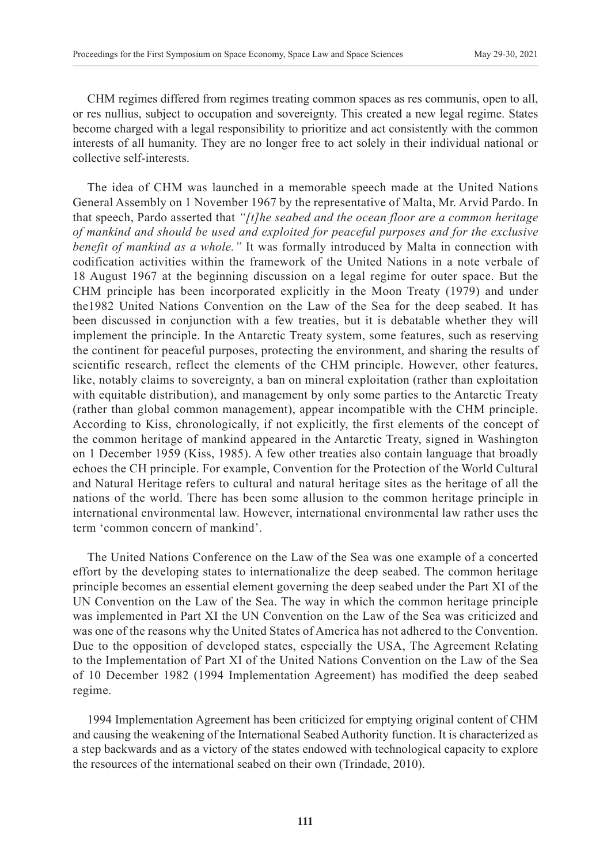CHM regimes differed from regimes treating common spaces as res communis, open to all, or res nullius, subject to occupation and sovereignty. This created a new legal regime. States become charged with a legal responsibility to prioritize and act consistently with the common interests of all humanity. They are no longer free to act solely in their individual national or collective self-interests.

The idea of CHM was launched in a memorable speech made at the United Nations General Assembly on 1 November 1967 by the representative of Malta, Mr. Arvid Pardo. In that speech, Pardo asserted that *"[t]he seabed and the ocean floor are a common heritage of mankind and should be used and exploited for peaceful purposes and for the exclusive benefit of mankind as a whole."* It was formally introduced by Malta in connection with codification activities within the framework of the United Nations in a note verbale of 18 August 1967 at the beginning discussion on a legal regime for outer space. But the CHM principle has been incorporated explicitly in the Moon Treaty (1979) and under the1982 United Nations Convention on the Law of the Sea for the deep seabed. It has been discussed in conjunction with a few treaties, but it is debatable whether they will implement the principle. In the Antarctic Treaty system, some features, such as reserving the continent for peaceful purposes, protecting the environment, and sharing the results of scientific research, reflect the elements of the CHM principle. However, other features, like, notably claims to sovereignty, a ban on mineral exploitation (rather than exploitation with equitable distribution), and management by only some parties to the Antarctic Treaty (rather than global common management), appear incompatible with the CHM principle. According to Kiss, chronologically, if not explicitly, the first elements of the concept of the common heritage of mankind appeared in the Antarctic Treaty, signed in Washington on 1 December 1959 (Kiss, 1985). A few other treaties also contain language that broadly echoes the CH principle. For example, Convention for the Protection of the World Cultural and Natural Heritage refers to cultural and natural heritage sites as the heritage of all the nations of the world. There has been some allusion to the common heritage principle in international environmental law. However, international environmental law rather uses the term 'common concern of mankind'.

The United Nations Conference on the Law of the Sea was one example of a concerted effort by the developing states to internationalize the deep seabed. The common heritage principle becomes an essential element governing the deep seabed under the Part XI of the UN Convention on the Law of the Sea. The way in which the common heritage principle was implemented in Part XI the UN Convention on the Law of the Sea was criticized and was one of the reasons why the United States of America has not adhered to the Convention. Due to the opposition of developed states, especially the USA, The Agreement Relating to the Implementation of Part XI of the United Nations Convention on the Law of the Sea of 10 December 1982 (1994 Implementation Agreement) has modified the deep seabed regime.

1994 Implementation Agreement has been criticized for emptying original content of CHM and causing the weakening of the International Seabed Authority function. It is characterized as a step backwards and as a victory of the states endowed with technological capacity to explore the resources of the international seabed on their own (Trindade, 2010).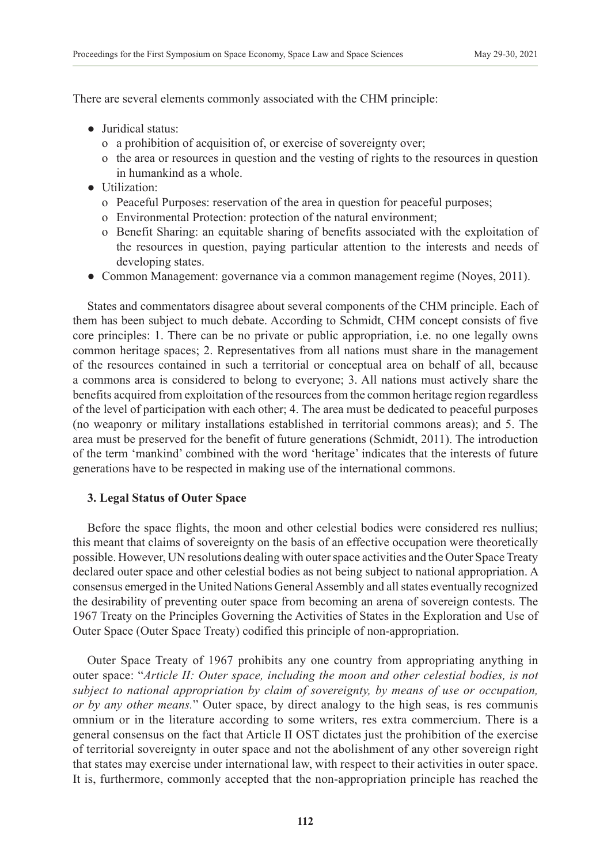There are several elements commonly associated with the CHM principle:

- Juridical status:
	- o a prohibition of acquisition of, or exercise of sovereignty over;
	- o the area or resources in question and the vesting of rights to the resources in question in humankind as a whole.
- *●* Utilization:
	- o Peaceful Purposes: reservation of the area in question for peaceful purposes;
	- o Environmental Protection: protection of the natural environment;
	- o Benefit Sharing: an equitable sharing of benefits associated with the exploitation of the resources in question, paying particular attention to the interests and needs of developing states.
- *●* Common Management: governance via a common management regime (Noyes, 2011).

States and commentators disagree about several components of the CHM principle. Each of them has been subject to much debate. According to Schmidt, CHM concept consists of five core principles: 1. There can be no private or public appropriation, i.e. no one legally owns common heritage spaces; 2. Representatives from all nations must share in the management of the resources contained in such a territorial or conceptual area on behalf of all, because a commons area is considered to belong to everyone; 3. All nations must actively share the benefits acquired from exploitation of the resources from the common heritage region regardless of the level of participation with each other; 4. The area must be dedicated to peaceful purposes (no weaponry or military installations established in territorial commons areas); and 5. The area must be preserved for the benefit of future generations (Schmidt, 2011). The introduction of the term 'mankind' combined with the word 'heritage' indicates that the interests of future generations have to be respected in making use of the international commons.

# **3. Legal Status of Outer Space**

Before the space flights, the moon and other celestial bodies were considered res nullius; this meant that claims of sovereignty on the basis of an effective occupation were theoretically possible. However, UN resolutions dealing with outer space activities and the Outer Space Treaty declared outer space and other celestial bodies as not being subject to national appropriation. A consensus emerged in the United Nations General Assembly and all states eventually recognized the desirability of preventing outer space from becoming an arena of sovereign contests. The 1967 Treaty on the Principles Governing the Activities of States in the Exploration and Use of Outer Space (Outer Space Treaty) codified this principle of non-appropriation.

Outer Space Treaty of 1967 prohibits any one country from appropriating anything in outer space: "*Article II: Outer space, including the moon and other celestial bodies, is not subject to national appropriation by claim of sovereignty, by means of use or occupation, or by any other means.*" Outer space, by direct analogy to the high seas, is res communis omnium or in the literature according to some writers, res extra commercium. There is a general consensus on the fact that Article II OST dictates just the prohibition of the exercise of territorial sovereignty in outer space and not the abolishment of any other sovereign right that states may exercise under international law, with respect to their activities in outer space. It is, furthermore, commonly accepted that the non-appropriation principle has reached the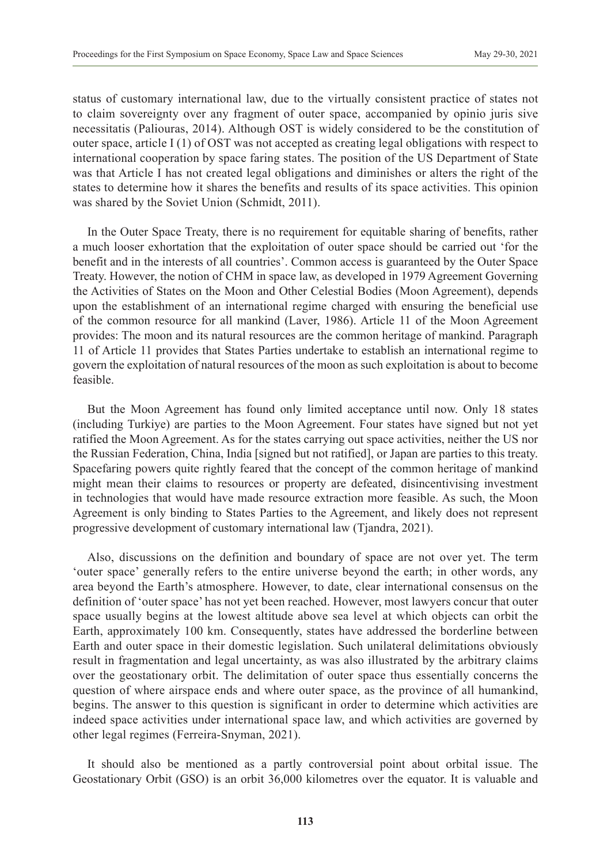status of customary international law, due to the virtually consistent practice of states not to claim sovereignty over any fragment of outer space, accompanied by opinio juris sive necessitatis (Paliouras, 2014). Although OST is widely considered to be the constitution of outer space, article I (1) of OST was not accepted as creating legal obligations with respect to international cooperation by space faring states. The position of the US Department of State was that Article I has not created legal obligations and diminishes or alters the right of the states to determine how it shares the benefits and results of its space activities. This opinion was shared by the Soviet Union (Schmidt, 2011).

In the Outer Space Treaty, there is no requirement for equitable sharing of benefits, rather a much looser exhortation that the exploitation of outer space should be carried out 'for the benefit and in the interests of all countries'. Common access is guaranteed by the Outer Space Treaty. However, the notion of CHM in space law, as developed in 1979 Agreement Governing the Activities of States on the Moon and Other Celestial Bodies (Moon Agreement), depends upon the establishment of an international regime charged with ensuring the beneficial use of the common resource for all mankind (Laver, 1986). Article 11 of the Moon Agreement provides: The moon and its natural resources are the common heritage of mankind. Paragraph 11 of Article 11 provides that States Parties undertake to establish an international regime to govern the exploitation of natural resources of the moon as such exploitation is about to become feasible.

But the Moon Agreement has found only limited acceptance until now. Only 18 states (including Turkiye) are parties to the Moon Agreement. Four states have signed but not yet ratified the Moon Agreement. As for the states carrying out space activities, neither the US nor the Russian Federation, China, India [signed but not ratified], or Japan are parties to this treaty. Spacefaring powers quite rightly feared that the concept of the common heritage of mankind might mean their claims to resources or property are defeated, disincentivising investment in technologies that would have made resource extraction more feasible. As such, the Moon Agreement is only binding to States Parties to the Agreement, and likely does not represent progressive development of customary international law (Tjandra, 2021).

Also, discussions on the definition and boundary of space are not over yet. The term 'outer space' generally refers to the entire universe beyond the earth; in other words, any area beyond the Earth's atmosphere. However, to date, clear international consensus on the definition of 'outer space' has not yet been reached. However, most lawyers concur that outer space usually begins at the lowest altitude above sea level at which objects can orbit the Earth, approximately 100 km. Consequently, states have addressed the borderline between Earth and outer space in their domestic legislation. Such unilateral delimitations obviously result in fragmentation and legal uncertainty, as was also illustrated by the arbitrary claims over the geostationary orbit. The delimitation of outer space thus essentially concerns the question of where airspace ends and where outer space, as the province of all humankind, begins. The answer to this question is significant in order to determine which activities are indeed space activities under international space law, and which activities are governed by other legal regimes (Ferreira-Snyman, 2021).

It should also be mentioned as a partly controversial point about orbital issue. The Geostationary Orbit (GSO) is an orbit 36,000 kilometres over the equator. It is valuable and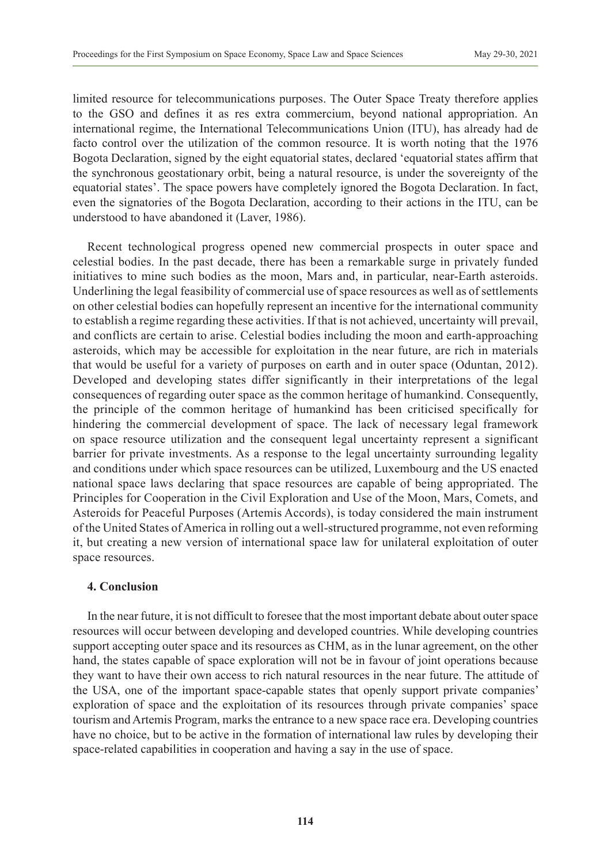limited resource for telecommunications purposes. The Outer Space Treaty therefore applies to the GSO and defines it as res extra commercium, beyond national appropriation. An international regime, the International Telecommunications Union (ITU), has already had de facto control over the utilization of the common resource. It is worth noting that the 1976 Bogota Declaration, signed by the eight equatorial states, declared 'equatorial states affirm that the synchronous geostationary orbit, being a natural resource, is under the sovereignty of the equatorial states'. The space powers have completely ignored the Bogota Declaration. In fact, even the signatories of the Bogota Declaration, according to their actions in the ITU, can be understood to have abandoned it (Laver, 1986).

Recent technological progress opened new commercial prospects in outer space and celestial bodies. In the past decade, there has been a remarkable surge in privately funded initiatives to mine such bodies as the moon, Mars and, in particular, near-Earth asteroids. Underlining the legal feasibility of commercial use of space resources as well as of settlements on other celestial bodies can hopefully represent an incentive for the international community to establish a regime regarding these activities. If that is not achieved, uncertainty will prevail, and conflicts are certain to arise. Celestial bodies including the moon and earth-approaching asteroids, which may be accessible for exploitation in the near future, are rich in materials that would be useful for a variety of purposes on earth and in outer space (Oduntan, 2012). Developed and developing states differ significantly in their interpretations of the legal consequences of regarding outer space as the common heritage of humankind. Consequently, the principle of the common heritage of humankind has been criticised specifically for hindering the commercial development of space. The lack of necessary legal framework on space resource utilization and the consequent legal uncertainty represent a significant barrier for private investments. As a response to the legal uncertainty surrounding legality and conditions under which space resources can be utilized, Luxembourg and the US enacted national space laws declaring that space resources are capable of being appropriated. The Principles for Cooperation in the Civil Exploration and Use of the Moon, Mars, Comets, and Asteroids for Peaceful Purposes (Artemis Accords), is today considered the main instrument of the United States of America in rolling out a well-structured programme, not even reforming it, but creating a new version of international space law for unilateral exploitation of outer space resources.

# **4. Conclusion**

In the near future, it is not difficult to foresee that the most important debate about outer space resources will occur between developing and developed countries. While developing countries support accepting outer space and its resources as CHM, as in the lunar agreement, on the other hand, the states capable of space exploration will not be in favour of joint operations because they want to have their own access to rich natural resources in the near future. The attitude of the USA, one of the important space-capable states that openly support private companies' exploration of space and the exploitation of its resources through private companies' space tourism and Artemis Program, marks the entrance to a new space race era. Developing countries have no choice, but to be active in the formation of international law rules by developing their space-related capabilities in cooperation and having a say in the use of space.